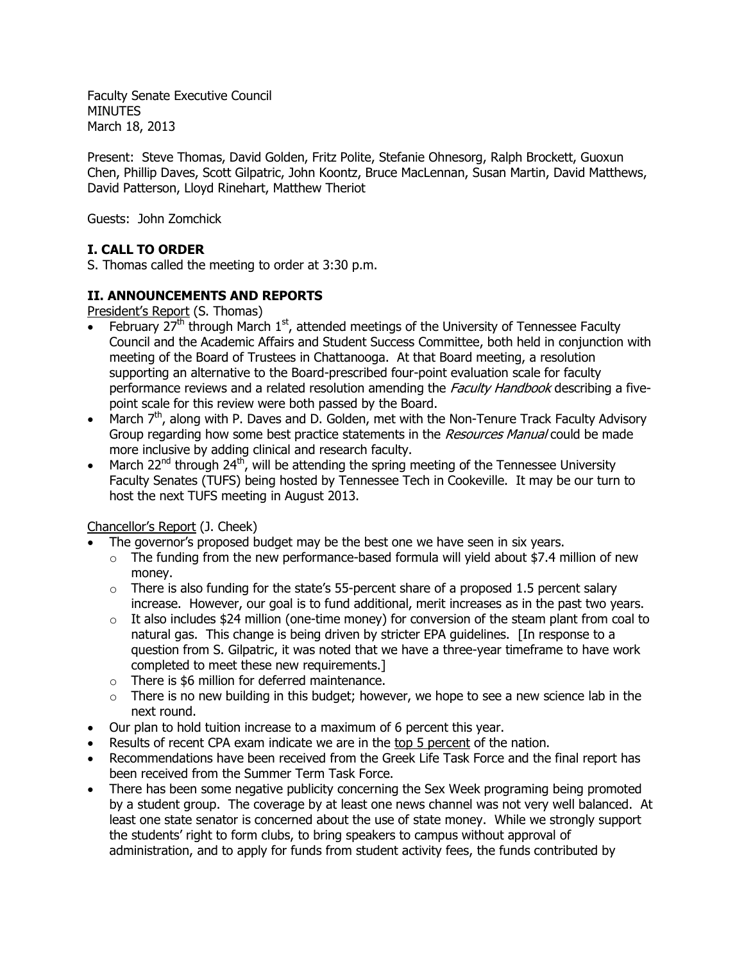Faculty Senate Executive Council **MINUTES** March 18, 2013

Present: Steve Thomas, David Golden, Fritz Polite, Stefanie Ohnesorg, Ralph Brockett, Guoxun Chen, Phillip Daves, Scott Gilpatric, John Koontz, Bruce MacLennan, Susan Martin, David Matthews, David Patterson, Lloyd Rinehart, Matthew Theriot

Guests: John Zomchick

# **I. CALL TO ORDER**

S. Thomas called the meeting to order at 3:30 p.m.

# **II. ANNOUNCEMENTS AND REPORTS**

President's Report (S. Thomas)

- February 27<sup>th</sup> through March 1<sup>st</sup>, attended meetings of the University of Tennessee Faculty Council and the Academic Affairs and Student Success Committee, both held in conjunction with meeting of the Board of Trustees in Chattanooga. At that Board meeting, a resolution supporting an alternative to the Board-prescribed four-point evaluation scale for faculty performance reviews and a related resolution amending the *Faculty Handbook* describing a fivepoint scale for this review were both passed by the Board.
- March  $7<sup>th</sup>$ , along with P. Daves and D. Golden, met with the Non-Tenure Track Faculty Advisory Group regarding how some best practice statements in the Resources Manual could be made more inclusive by adding clinical and research faculty.
- March 22<sup>nd</sup> through 24<sup>th</sup>, will be attending the spring meeting of the Tennessee University Faculty Senates (TUFS) being hosted by Tennessee Tech in Cookeville. It may be our turn to host the next TUFS meeting in August 2013.

## Chancellor's Report (J. Cheek)

- The governor's proposed budget may be the best one we have seen in six years.
	- $\circ$  The funding from the new performance-based formula will yield about \$7.4 million of new money.
	- $\circ$  There is also funding for the state's 55-percent share of a proposed 1.5 percent salary increase. However, our goal is to fund additional, merit increases as in the past two years.
	- $\circ$  It also includes \$24 million (one-time money) for conversion of the steam plant from coal to natural gas. This change is being driven by stricter EPA guidelines. [In response to a question from S. Gilpatric, it was noted that we have a three-year timeframe to have work completed to meet these new requirements.]
	- o There is \$6 million for deferred maintenance.
	- $\circ$  There is no new building in this budget; however, we hope to see a new science lab in the next round.
- Our plan to hold tuition increase to a maximum of 6 percent this year.
- Results of recent CPA exam indicate we are in the top 5 percent of the nation.
- Recommendations have been received from the Greek Life Task Force and the final report has been received from the Summer Term Task Force.
- There has been some negative publicity concerning the Sex Week programing being promoted by a student group. The coverage by at least one news channel was not very well balanced. At least one state senator is concerned about the use of state money. While we strongly support the students' right to form clubs, to bring speakers to campus without approval of administration, and to apply for funds from student activity fees, the funds contributed by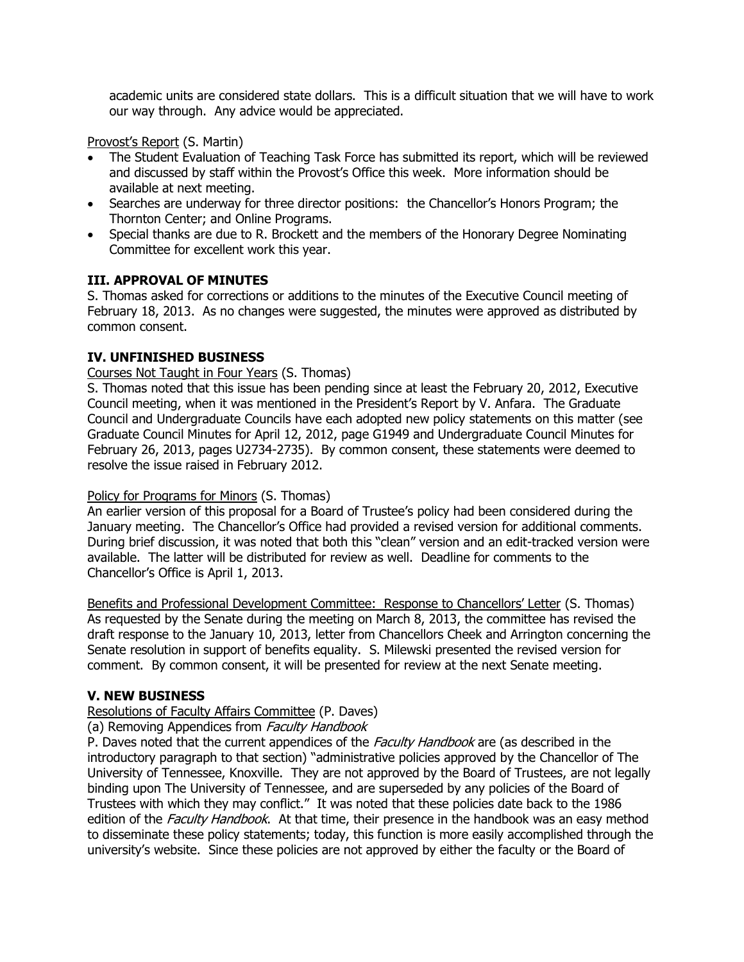academic units are considered state dollars. This is a difficult situation that we will have to work our way through. Any advice would be appreciated.

Provost's Report (S. Martin)

- The Student Evaluation of Teaching Task Force has submitted its report, which will be reviewed and discussed by staff within the Provost's Office this week. More information should be available at next meeting.
- Searches are underway for three director positions: the Chancellor's Honors Program; the Thornton Center; and Online Programs.
- Special thanks are due to R. Brockett and the members of the Honorary Degree Nominating Committee for excellent work this year.

# **III. APPROVAL OF MINUTES**

S. Thomas asked for corrections or additions to the minutes of the Executive Council meeting of February 18, 2013. As no changes were suggested, the minutes were approved as distributed by common consent.

# **IV. UNFINISHED BUSINESS**

Courses Not Taught in Four Years (S. Thomas)

S. Thomas noted that this issue has been pending since at least the February 20, 2012, Executive Council meeting, when it was mentioned in the President's Report by V. Anfara. The Graduate Council and Undergraduate Councils have each adopted new policy statements on this matter (see Graduate Council Minutes for April 12, 2012, page G1949 and Undergraduate Council Minutes for February 26, 2013, pages U2734-2735). By common consent, these statements were deemed to resolve the issue raised in February 2012.

## Policy for Programs for Minors (S. Thomas)

An earlier version of this proposal for a Board of Trustee's policy had been considered during the January meeting. The Chancellor's Office had provided a revised version for additional comments. During brief discussion, it was noted that both this "clean" version and an edit-tracked version were available. The latter will be distributed for review as well. Deadline for comments to the Chancellor's Office is April 1, 2013.

Benefits and Professional Development Committee: Response to Chancellors' Letter (S. Thomas) As requested by the Senate during the meeting on March 8, 2013, the committee has revised the draft response to the January 10, 2013, letter from Chancellors Cheek and Arrington concerning the Senate resolution in support of benefits equality. S. Milewski presented the revised version for comment. By common consent, it will be presented for review at the next Senate meeting.

## **V. NEW BUSINESS**

## Resolutions of Faculty Affairs Committee (P. Daves)

#### (a) Removing Appendices from Faculty Handbook

P. Daves noted that the current appendices of the Faculty Handbook are (as described in the introductory paragraph to that section) "administrative policies approved by the Chancellor of The University of Tennessee, Knoxville. They are not approved by the Board of Trustees, are not legally binding upon The University of Tennessee, and are superseded by any policies of the Board of Trustees with which they may conflict." It was noted that these policies date back to the 1986 edition of the Faculty Handbook. At that time, their presence in the handbook was an easy method to disseminate these policy statements; today, this function is more easily accomplished through the university's website. Since these policies are not approved by either the faculty or the Board of